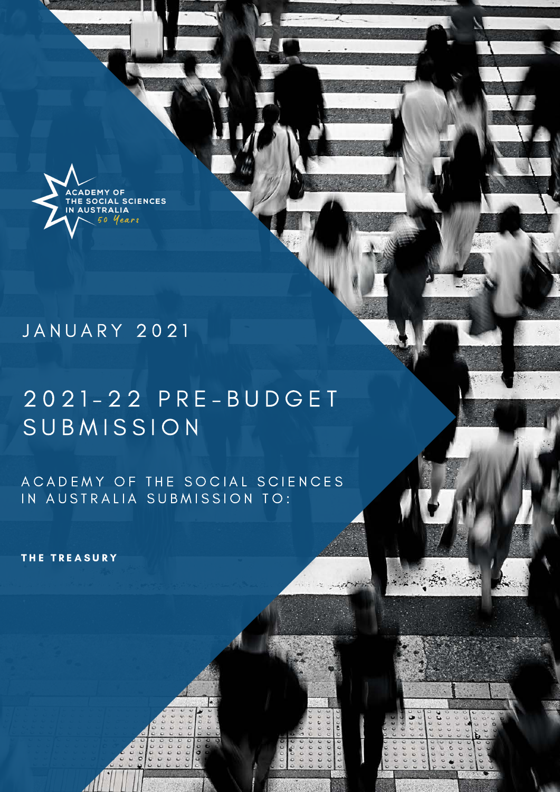

# J A N U A R Y 2 0 2 1

# 2 0 2 1 - 2 2 P R E - B U D G E T SUBMISSION

A C A D E M Y O F THE SO CIAL SCIENCES IN AUSTRALIA SUBMISSION TO:

THE TREASURY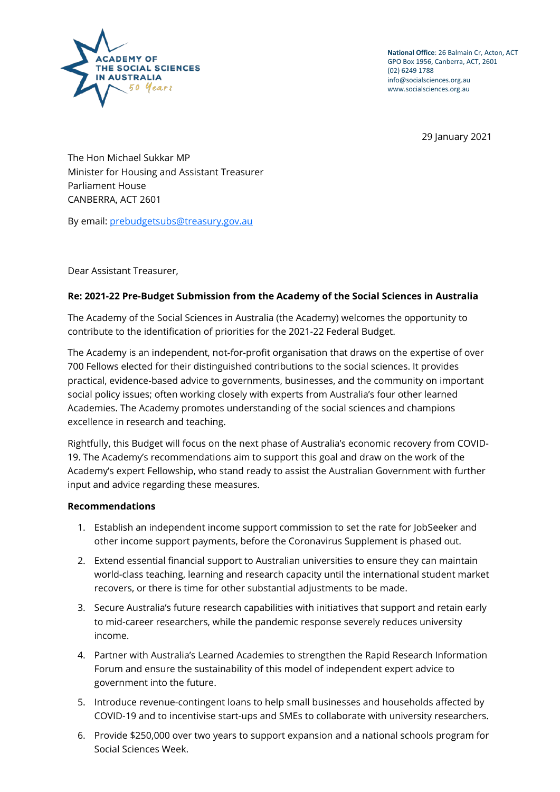

**National Office**: 26 Balmain Cr, Acton, ACT GPO Box 1956, Canberra, ACT, 2601 (02) 6249 1788 info@socialsciences.org.au www.socialsciences.org.au

29 January 2021

The Hon Michael Sukkar MP Minister for Housing and Assistant Treasurer Parliament House CANBERRA, ACT 2601

By email: [prebudgetsubs@treasury.gov.au](mailto:prebudgetsubs@treasury.gov.au)

Dear Assistant Treasurer,

#### **Re: 2021-22 Pre-Budget Submission from the Academy of the Social Sciences in Australia**

The Academy of the Social Sciences in Australia (the Academy) welcomes the opportunity to contribute to the identification of priorities for the 2021-22 Federal Budget.

The Academy is an independent, not-for-profit organisation that draws on the expertise of over 700 Fellows elected for their distinguished contributions to the social sciences. It provides practical, evidence-based advice to governments, businesses, and the community on important social policy issues; often working closely with experts from Australia's four other learned Academies. The Academy promotes understanding of the social sciences and champions excellence in research and teaching.

Rightfully, this Budget will focus on the next phase of Australia's economic recovery from COVID-19. The Academy's recommendations aim to support this goal and draw on the work of the Academy's expert Fellowship, who stand ready to assist the Australian Government with further input and advice regarding these measures.

#### **Recommendations**

- 1. Establish an independent income support commission to set the rate for JobSeeker and other income support payments, before the Coronavirus Supplement is phased out.
- 2. Extend essential financial support to Australian universities to ensure they can maintain world-class teaching, learning and research capacity until the international student market recovers, or there is time for other substantial adjustments to be made.
- 3. Secure Australia's future research capabilities with initiatives that support and retain early to mid-career researchers, while the pandemic response severely reduces university income.
- 4. Partner with Australia's Learned Academies to strengthen the Rapid Research Information Forum and ensure the sustainability of this model of independent expert advice to government into the future.
- 5. Introduce revenue-contingent loans to help small businesses and households affected by COVID-19 and to incentivise start-ups and SMEs to collaborate with university researchers.
- 6. Provide \$250,000 over two years to support expansion and a national schools program for Social Sciences Week.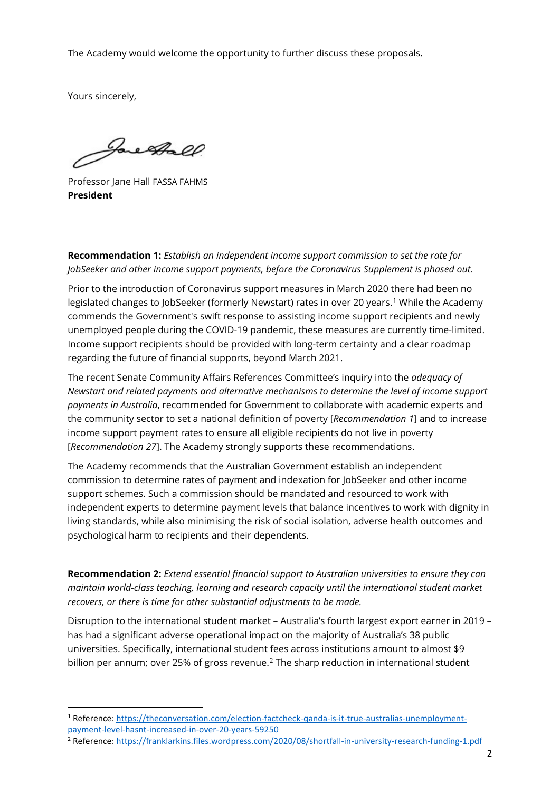The Academy would welcome the opportunity to further discuss these proposals.

Yours sincerely,

Jacoball

Professor Jane Hall FASSA FAHMS **President**

**Recommendation 1:** *Establish an independent income support commission to set the rate for JobSeeker and other income support payments, before the Coronavirus Supplement is phased out.*

Prior to the introduction of Coronavirus support measures in March 2020 there had been no legislated changes to JobSeeker (formerly Newstart) rates in over 20 years.<sup>[1](#page-2-0)</sup> While the Academy commends the Government's swift response to assisting income support recipients and newly unemployed people during the COVID-19 pandemic, these measures are currently time-limited. Income support recipients should be provided with long-term certainty and a clear roadmap regarding the future of financial supports, beyond March 2021.

The recent Senate Community Affairs References Committee's inquiry into the *adequacy of Newstart and related payments and alternative mechanisms to determine the level of income support payments in Australia*, recommended for Government to collaborate with academic experts and the community sector to set a national definition of poverty [*Recommendation 1*] and to increase income support payment rates to ensure all eligible recipients do not live in poverty [*Recommendation 27*]. The Academy strongly supports these recommendations.

The Academy recommends that the Australian Government establish an independent commission to determine rates of payment and indexation for JobSeeker and other income support schemes. Such a commission should be mandated and resourced to work with independent experts to determine payment levels that balance incentives to work with dignity in living standards, while also minimising the risk of social isolation, adverse health outcomes and psychological harm to recipients and their dependents.

**Recommendation 2:** *Extend essential financial support to Australian universities to ensure they can maintain world-class teaching, learning and research capacity until the international student market recovers, or there is time for other substantial adjustments to be made.*

Disruption to the international student market – Australia's fourth largest export earner in 2019 – has had a significant adverse operational impact on the majority of Australia's 38 public universities. Specifically, international student fees across institutions amount to almost \$9 billion per annum; over [2](#page-2-1)5% of gross revenue.<sup>2</sup> The sharp reduction in international student

<span id="page-2-0"></span><sup>1</sup> Reference: [https://theconversation.com/election-factcheck-qanda-is-it-true-australias-unemployment](https://theconversation.com/election-factcheck-qanda-is-it-true-australias-unemployment-payment-level-hasnt-increased-in-over-20-years-59250)[payment-level-hasnt-increased-in-over-20-years-59250](https://theconversation.com/election-factcheck-qanda-is-it-true-australias-unemployment-payment-level-hasnt-increased-in-over-20-years-59250)

<span id="page-2-1"></span><sup>2</sup> Reference:<https://franklarkins.files.wordpress.com/2020/08/shortfall-in-university-research-funding-1.pdf>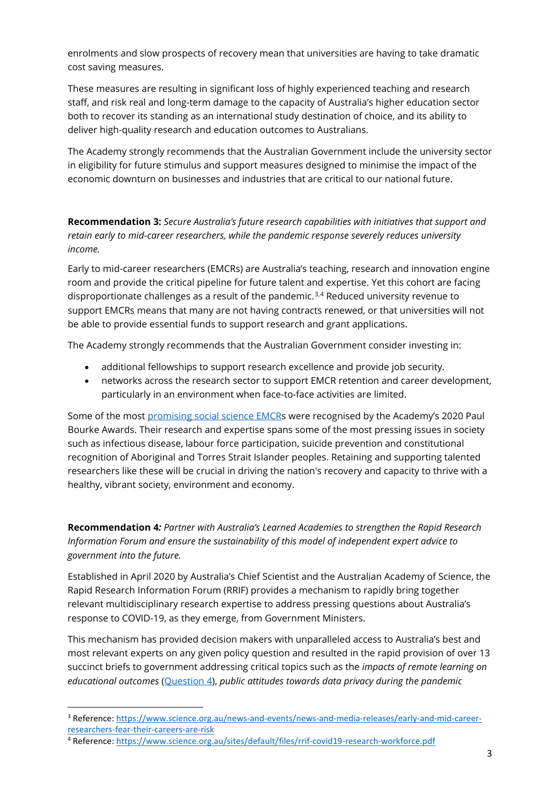enrolments and slow prospects of recovery mean that universities are having to take dramatic cost saving measures.

These measures are resulting in significant loss of highly experienced teaching and research staff, and risk real and long-term damage to the capacity of Australia's higher education sector both to recover its standing as an international study destination of choice, and its ability to deliver high-quality research and education outcomes to Australians.

The Academy strongly recommends that the Australian Government include the university sector in eligibility for future stimulus and support measures designed to minimise the impact of the economic downturn on businesses and industries that are critical to our national future.

**Recommendation 3:** *Secure Australia's future research capabilities with initiatives that support and retain early to mid-career researchers, while the pandemic response severely reduces university income.* 

Early to mid-career researchers (EMCRs) are Australia's teaching, research and innovation engine room and provide the critical pipeline for future talent and expertise. Yet this cohort are facing disproportionate challenges as a result of the pandemic.<sup>[3,](#page-3-0)[4](#page-3-1)</sup> Reduced university revenue to support EMCRs means that many are not having contracts renewed, or that universities will not be able to provide essential funds to support research and grant applications.

The Academy strongly recommends that the Australian Government consider investing in:

- additional fellowships to support research excellence and provide job security.
- networks across the research sector to support EMCR retention and career development, particularly in an environment when face-to-face activities are limited.

Some of the most [promising social science EMCRs](https://socialsciences.org.au/news/2020-paul-bourke-award-winners/) were recognised by the Academy's 2020 Paul Bourke Awards. Their research and expertise spans some of the most pressing issues in society such as infectious disease, labour force participation, suicide prevention and constitutional recognition of Aboriginal and Torres Strait Islander peoples. Retaining and supporting talented researchers like these will be crucial in driving the nation's recovery and capacity to thrive with a healthy, vibrant society, environment and economy.

**Recommendation 4***: Partner with Australia's Learned Academies to strengthen the Rapid Research Information Forum and ensure the sustainability of this model of independent expert advice to government into the future.*

Established in April 2020 by Australia's Chief Scientist and the Australian Academy of Science, the Rapid Research Information Forum (RRIF) provides a mechanism to rapidly bring together relevant multidisciplinary research expertise to address pressing questions about Australia's response to COVID-19, as they emerge, from Government Ministers.

This mechanism has provided decision makers with unparalleled access to Australia's best and most relevant experts on any given policy question and resulted in the rapid provision of over 13 succinct briefs to government addressing critical topics such as the *impacts of remote learning on educational outcomes* [\(Question 4\)](https://www.science.org.au/covid19/learning-outcomes-online-vs-inclass-education), *public attitudes towards data privacy during the pandemic*

<span id="page-3-0"></span><sup>3</sup> Reference: [https://www.science.org.au/news-and-events/news-and-media-releases/early-and-mid-career](https://www.science.org.au/news-and-events/news-and-media-releases/early-and-mid-career-researchers-fear-their-careers-are-risk)[researchers-fear-their-careers-are-risk](https://www.science.org.au/news-and-events/news-and-media-releases/early-and-mid-career-researchers-fear-their-careers-are-risk)

<span id="page-3-1"></span><sup>4</sup> Reference:<https://www.science.org.au/sites/default/files/rrif-covid19-research-workforce.pdf>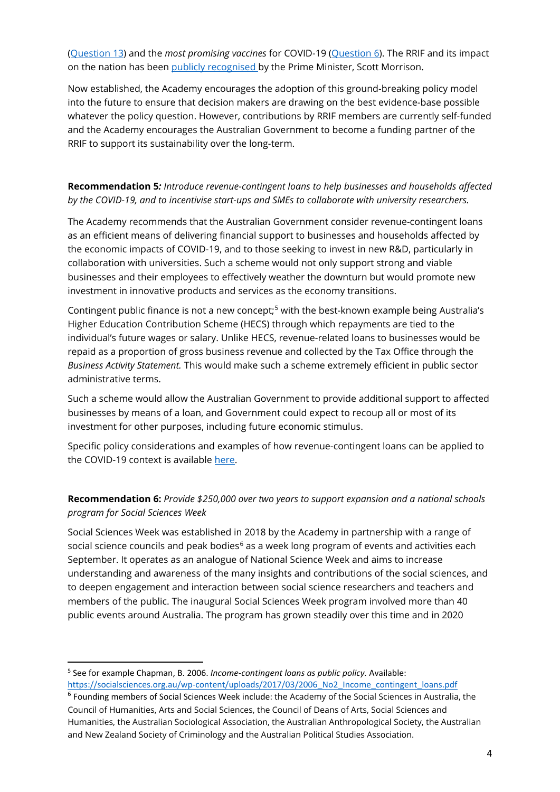[\(Question 13\)](https://www.science.org.au/covid19/data-privacy) and the *most promising vaccines* for COVID-19 [\(Question 6\)](https://www.science.org.au/covid19/promising-vaccines). The RRIF and its impact on the nation has been [publicly recognised](https://youtu.be/yHsPssyzjyM?t=626) by the Prime Minister, Scott Morrison.

Now established, the Academy encourages the adoption of this ground-breaking policy model into the future to ensure that decision makers are drawing on the best evidence-base possible whatever the policy question. However, contributions by RRIF members are currently self-funded and the Academy encourages the Australian Government to become a funding partner of the RRIF to support its sustainability over the long-term.

### **Recommendation 5***: Introduce revenue-contingent loans to help businesses and households affected by the COVID-19, and to incentivise start-ups and SMEs to collaborate with university researchers.*

The Academy recommends that the Australian Government consider revenue-contingent loans as an efficient means of delivering financial support to businesses and households affected by the economic impacts of COVID-19, and to those seeking to invest in new R&D, particularly in collaboration with universities. Such a scheme would not only support strong and viable businesses and their employees to effectively weather the downturn but would promote new investment in innovative products and services as the economy transitions.

Contingent public finance is not a new concept;<sup>[5](#page-4-0)</sup> with the best-known example being Australia's Higher Education Contribution Scheme (HECS) through which repayments are tied to the individual's future wages or salary. Unlike HECS, revenue-related loans to businesses would be repaid as a proportion of gross business revenue and collected by the Tax Office through the *Business Activity Statement.* This would make such a scheme extremely efficient in public sector administrative terms.

Such a scheme would allow the Australian Government to provide additional support to affected businesses by means of a loan, and Government could expect to recoup all or most of its investment for other purposes, including future economic stimulus.

Specific policy considerations and examples of how revenue-contingent loans can be applied to the COVID-19 context is available [here.](https://theconversation.com/give-people-and-businesses-money-now-they-can-pay-back-later-if-and-when-they-can-134998)

## **Recommendation 6:** *Provide \$250,000 over two years to support expansion and a national schools program for Social Sciences Week*

Social Sciences Week was established in 2018 by the Academy in partnership with a range of social science councils and peak bodies<sup>[6](#page-4-1)</sup> as a week long program of events and activities each September. It operates as an analogue of National Science Week and aims to increase understanding and awareness of the many insights and contributions of the social sciences, and to deepen engagement and interaction between social science researchers and teachers and members of the public. The inaugural Social Sciences Week program involved more than 40 public events around Australia. The program has grown steadily over this time and in 2020

<span id="page-4-0"></span><sup>5</sup> See for example Chapman, B. 2006. *Income-contingent loans as public policy.* Available: [https://socialsciences.org.au/wp-content/uploads/2017/03/2006\\_No2\\_Income\\_contingent\\_loans.pdf](https://socialsciences.org.au/wp-content/uploads/2017/03/2006_No2_Income_contingent_loans.pdf)

<span id="page-4-1"></span><sup>6</sup> Founding members of Social Sciences Week include: the Academy of the Social Sciences in Australia, the Council of Humanities, Arts and Social Sciences, the Council of Deans of Arts, Social Sciences and Humanities, the Australian Sociological Association, the Australian Anthropological Society, the Australian and New Zealand Society of Criminology and the Australian Political Studies Association.